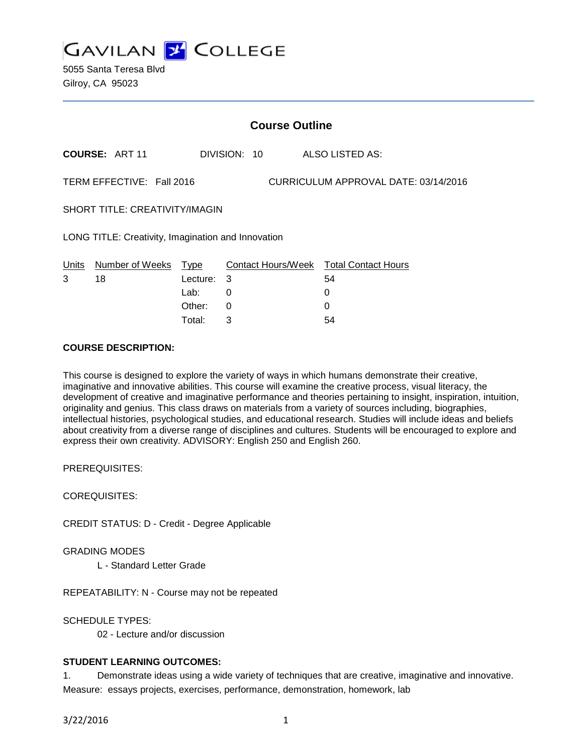

5055 Santa Teresa Blvd Gilroy, CA 95023

|                                                                   | <b>Course Outline</b> |          |              |                                        |
|-------------------------------------------------------------------|-----------------------|----------|--------------|----------------------------------------|
|                                                                   | <b>COURSE: ART 11</b> |          | DIVISION: 10 | <b>ALSO LISTED AS:</b>                 |
| TERM EFFECTIVE: Fall 2016<br>CURRICULUM APPROVAL DATE: 03/14/2016 |                       |          |              |                                        |
| <b>SHORT TITLE: CREATIVITY/IMAGIN</b>                             |                       |          |              |                                        |
| LONG TITLE: Creativity, Imagination and Innovation                |                       |          |              |                                        |
| Units                                                             | Number of Weeks Type  |          |              | Contact Hours/Week Total Contact Hours |
| 3                                                                 | 18                    | Lecture: | 3            | 54                                     |
|                                                                   |                       | Lab:     | 0            | 0                                      |
|                                                                   |                       | Other:   | 0            | 0                                      |
|                                                                   |                       | Total:   | 3            | 54                                     |

## **COURSE DESCRIPTION:**

This course is designed to explore the variety of ways in which humans demonstrate their creative, imaginative and innovative abilities. This course will examine the creative process, visual literacy, the development of creative and imaginative performance and theories pertaining to insight, inspiration, intuition, originality and genius. This class draws on materials from a variety of sources including, biographies, intellectual histories, psychological studies, and educational research. Studies will include ideas and beliefs about creativity from a diverse range of disciplines and cultures. Students will be encouraged to explore and express their own creativity. ADVISORY: English 250 and English 260.

PREREQUISITES:

COREQUISITES:

CREDIT STATUS: D - Credit - Degree Applicable

GRADING MODES

L - Standard Letter Grade

REPEATABILITY: N - Course may not be repeated

SCHEDULE TYPES:

02 - Lecture and/or discussion

#### **STUDENT LEARNING OUTCOMES:**

1. Demonstrate ideas using a wide variety of techniques that are creative, imaginative and innovative. Measure: essays projects, exercises, performance, demonstration, homework, lab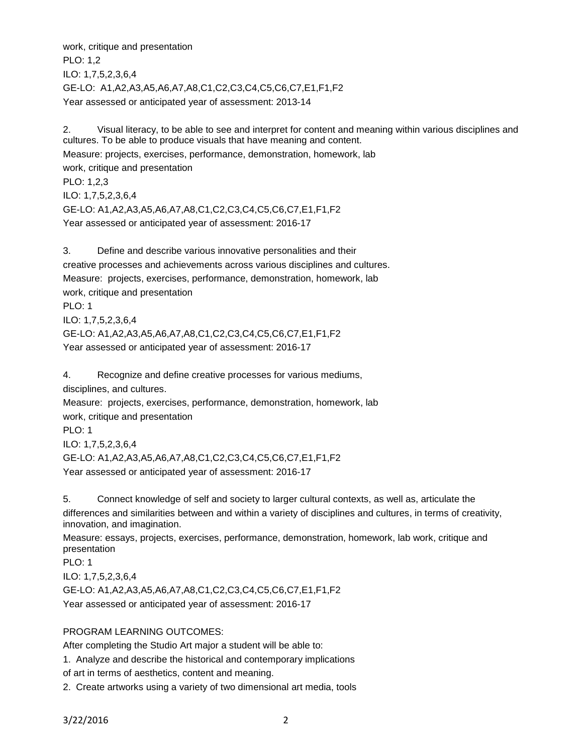work, critique and presentation PLO: 1,2 ILO: 1,7,5,2,3,6,4 GE-LO: A1,A2,A3,A5,A6,A7,A8,C1,C2,C3,C4,C5,C6,C7,E1,F1,F2 Year assessed or anticipated year of assessment: 2013-14

2. Visual literacy, to be able to see and interpret for content and meaning within various disciplines and cultures. To be able to produce visuals that have meaning and content. Measure: projects, exercises, performance, demonstration, homework, lab work, critique and presentation PLO: 1,2,3 ILO: 1,7,5,2,3,6,4 GE-LO: A1,A2,A3,A5,A6,A7,A8,C1,C2,C3,C4,C5,C6,C7,E1,F1,F2 Year assessed or anticipated year of assessment: 2016-17

3. Define and describe various innovative personalities and their creative processes and achievements across various disciplines and cultures. Measure: projects, exercises, performance, demonstration, homework, lab work, critique and presentation PLO: 1 ILO: 1,7,5,2,3,6,4 GE-LO: A1,A2,A3,A5,A6,A7,A8,C1,C2,C3,C4,C5,C6,C7,E1,F1,F2 Year assessed or anticipated year of assessment: 2016-17

4. Recognize and define creative processes for various mediums, disciplines, and cultures. Measure: projects, exercises, performance, demonstration, homework, lab work, critique and presentation PLO: 1 ILO: 1,7,5,2,3,6,4 GE-LO: A1,A2,A3,A5,A6,A7,A8,C1,C2,C3,C4,C5,C6,C7,E1,F1,F2 Year assessed or anticipated year of assessment: 2016-17

5. Connect knowledge of self and society to larger cultural contexts, as well as, articulate the differences and similarities between and within a variety of disciplines and cultures, in terms of creativity, innovation, and imagination.

Measure: essays, projects, exercises, performance, demonstration, homework, lab work, critique and presentation

PLO: 1 ILO: 1,7,5,2,3,6,4 GE-LO: A1,A2,A3,A5,A6,A7,A8,C1,C2,C3,C4,C5,C6,C7,E1,F1,F2 Year assessed or anticipated year of assessment: 2016-17

# PROGRAM LEARNING OUTCOMES:

After completing the Studio Art major a student will be able to:

1. Analyze and describe the historical and contemporary implications

of art in terms of aesthetics, content and meaning.

2. Create artworks using a variety of two dimensional art media, tools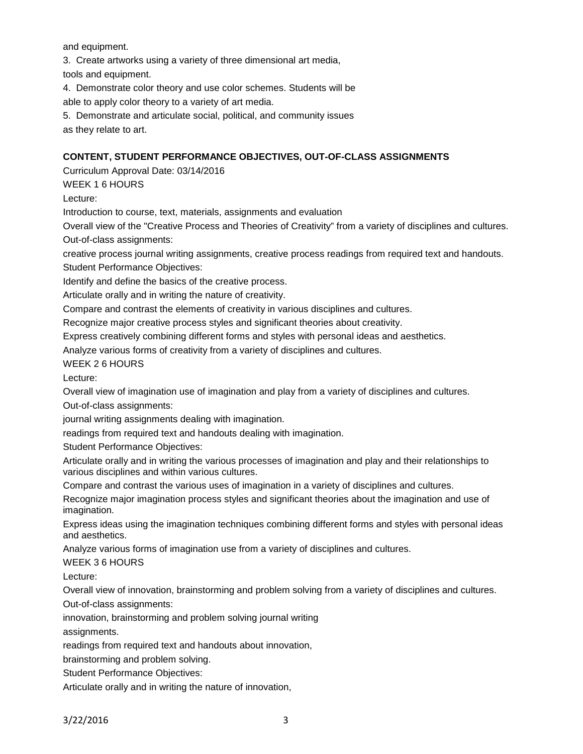and equipment.

3. Create artworks using a variety of three dimensional art media,

tools and equipment.

4. Demonstrate color theory and use color schemes. Students will be able to apply color theory to a variety of art media.

5. Demonstrate and articulate social, political, and community issues as they relate to art.

# **CONTENT, STUDENT PERFORMANCE OBJECTIVES, OUT-OF-CLASS ASSIGNMENTS**

Curriculum Approval Date: 03/14/2016

WEEK 1 6 HOURS

Lecture:

Introduction to course, text, materials, assignments and evaluation

Overall view of the "Creative Process and Theories of Creativity" from a variety of disciplines and cultures. Out-of-class assignments:

creative process journal writing assignments, creative process readings from required text and handouts. Student Performance Objectives:

Identify and define the basics of the creative process.

Articulate orally and in writing the nature of creativity.

Compare and contrast the elements of creativity in various disciplines and cultures.

Recognize major creative process styles and significant theories about creativity.

Express creatively combining different forms and styles with personal ideas and aesthetics.

Analyze various forms of creativity from a variety of disciplines and cultures.

WEEK 2 6 HOURS

Lecture:

Overall view of imagination use of imagination and play from a variety of disciplines and cultures.

Out-of-class assignments:

journal writing assignments dealing with imagination.

readings from required text and handouts dealing with imagination.

Student Performance Objectives:

Articulate orally and in writing the various processes of imagination and play and their relationships to various disciplines and within various cultures.

Compare and contrast the various uses of imagination in a variety of disciplines and cultures.

Recognize major imagination process styles and significant theories about the imagination and use of imagination.

Express ideas using the imagination techniques combining different forms and styles with personal ideas and aesthetics.

Analyze various forms of imagination use from a variety of disciplines and cultures.

WEEK 3 6 HOURS

Lecture:

Overall view of innovation, brainstorming and problem solving from a variety of disciplines and cultures.

Out-of-class assignments:

innovation, brainstorming and problem solving journal writing

assignments.

readings from required text and handouts about innovation,

brainstorming and problem solving.

Student Performance Objectives:

Articulate orally and in writing the nature of innovation,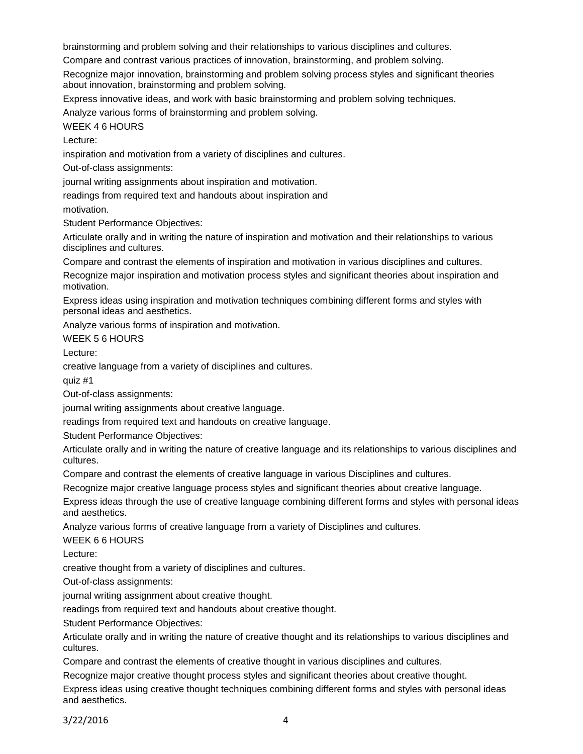brainstorming and problem solving and their relationships to various disciplines and cultures.

Compare and contrast various practices of innovation, brainstorming, and problem solving.

Recognize major innovation, brainstorming and problem solving process styles and significant theories about innovation, brainstorming and problem solving.

Express innovative ideas, and work with basic brainstorming and problem solving techniques.

Analyze various forms of brainstorming and problem solving.

WEEK 4 6 HOURS

Lecture:

inspiration and motivation from a variety of disciplines and cultures.

Out-of-class assignments:

journal writing assignments about inspiration and motivation.

readings from required text and handouts about inspiration and

motivation.

Student Performance Objectives:

Articulate orally and in writing the nature of inspiration and motivation and their relationships to various disciplines and cultures.

Compare and contrast the elements of inspiration and motivation in various disciplines and cultures.

Recognize major inspiration and motivation process styles and significant theories about inspiration and motivation.

Express ideas using inspiration and motivation techniques combining different forms and styles with personal ideas and aesthetics.

Analyze various forms of inspiration and motivation.

WEEK 5 6 HOURS

Lecture:

creative language from a variety of disciplines and cultures.

quiz #1

Out-of-class assignments:

journal writing assignments about creative language.

readings from required text and handouts on creative language.

Student Performance Objectives:

Articulate orally and in writing the nature of creative language and its relationships to various disciplines and cultures.

Compare and contrast the elements of creative language in various Disciplines and cultures.

Recognize major creative language process styles and significant theories about creative language.

Express ideas through the use of creative language combining different forms and styles with personal ideas and aesthetics.

Analyze various forms of creative language from a variety of Disciplines and cultures.

WEEK 6 6 HOURS

Lecture:

creative thought from a variety of disciplines and cultures.

Out-of-class assignments:

journal writing assignment about creative thought.

readings from required text and handouts about creative thought.

Student Performance Objectives:

Articulate orally and in writing the nature of creative thought and its relationships to various disciplines and cultures.

Compare and contrast the elements of creative thought in various disciplines and cultures.

Recognize major creative thought process styles and significant theories about creative thought.

Express ideas using creative thought techniques combining different forms and styles with personal ideas and aesthetics.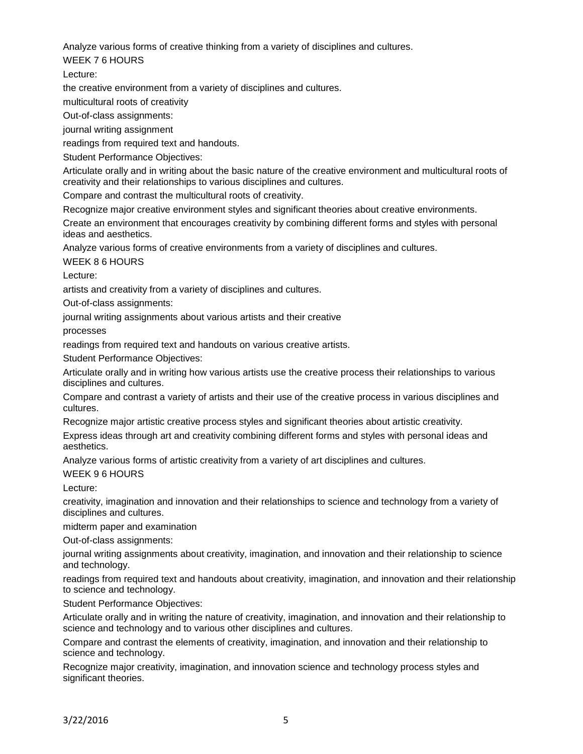Analyze various forms of creative thinking from a variety of disciplines and cultures.

WEEK 7 6 HOURS

Lecture:

the creative environment from a variety of disciplines and cultures.

multicultural roots of creativity

Out-of-class assignments:

journal writing assignment

readings from required text and handouts.

Student Performance Objectives:

Articulate orally and in writing about the basic nature of the creative environment and multicultural roots of creativity and their relationships to various disciplines and cultures.

Compare and contrast the multicultural roots of creativity.

Recognize major creative environment styles and significant theories about creative environments.

Create an environment that encourages creativity by combining different forms and styles with personal ideas and aesthetics.

Analyze various forms of creative environments from a variety of disciplines and cultures.

WEEK 8 6 HOURS

Lecture:

artists and creativity from a variety of disciplines and cultures.

Out-of-class assignments:

journal writing assignments about various artists and their creative

processes

readings from required text and handouts on various creative artists.

Student Performance Objectives:

Articulate orally and in writing how various artists use the creative process their relationships to various disciplines and cultures.

Compare and contrast a variety of artists and their use of the creative process in various disciplines and cultures.

Recognize major artistic creative process styles and significant theories about artistic creativity.

Express ideas through art and creativity combining different forms and styles with personal ideas and aesthetics.

Analyze various forms of artistic creativity from a variety of art disciplines and cultures.

WEEK 9 6 HOURS

Lecture:

creativity, imagination and innovation and their relationships to science and technology from a variety of disciplines and cultures.

midterm paper and examination

Out-of-class assignments:

journal writing assignments about creativity, imagination, and innovation and their relationship to science and technology.

readings from required text and handouts about creativity, imagination, and innovation and their relationship to science and technology.

Student Performance Objectives:

Articulate orally and in writing the nature of creativity, imagination, and innovation and their relationship to science and technology and to various other disciplines and cultures.

Compare and contrast the elements of creativity, imagination, and innovation and their relationship to science and technology.

Recognize major creativity, imagination, and innovation science and technology process styles and significant theories.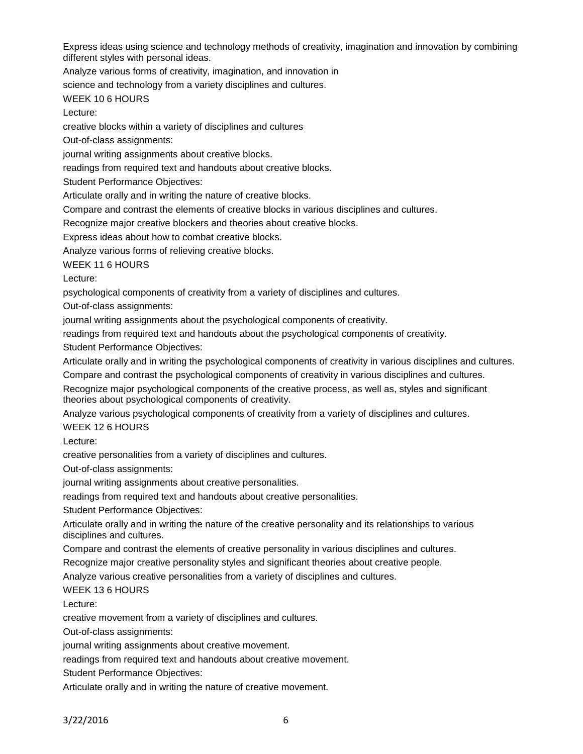Express ideas using science and technology methods of creativity, imagination and innovation by combining different styles with personal ideas.

Analyze various forms of creativity, imagination, and innovation in

science and technology from a variety disciplines and cultures.

## WEEK 10 6 HOURS

Lecture:

creative blocks within a variety of disciplines and cultures

Out-of-class assignments:

journal writing assignments about creative blocks.

readings from required text and handouts about creative blocks.

Student Performance Objectives:

Articulate orally and in writing the nature of creative blocks.

Compare and contrast the elements of creative blocks in various disciplines and cultures.

Recognize major creative blockers and theories about creative blocks.

Express ideas about how to combat creative blocks.

Analyze various forms of relieving creative blocks.

WEEK 11 6 HOURS

Lecture:

psychological components of creativity from a variety of disciplines and cultures.

Out-of-class assignments:

journal writing assignments about the psychological components of creativity.

readings from required text and handouts about the psychological components of creativity.

Student Performance Objectives:

Articulate orally and in writing the psychological components of creativity in various disciplines and cultures. Compare and contrast the psychological components of creativity in various disciplines and cultures.

Recognize major psychological components of the creative process, as well as, styles and significant theories about psychological components of creativity.

Analyze various psychological components of creativity from a variety of disciplines and cultures. WEEK 12 6 HOURS

Lecture:

creative personalities from a variety of disciplines and cultures.

Out-of-class assignments:

journal writing assignments about creative personalities.

readings from required text and handouts about creative personalities.

Student Performance Objectives:

Articulate orally and in writing the nature of the creative personality and its relationships to various disciplines and cultures.

Compare and contrast the elements of creative personality in various disciplines and cultures.

Recognize major creative personality styles and significant theories about creative people.

Analyze various creative personalities from a variety of disciplines and cultures.

# WEEK 13 6 HOURS

Lecture:

creative movement from a variety of disciplines and cultures.

Out-of-class assignments:

journal writing assignments about creative movement.

readings from required text and handouts about creative movement.

Student Performance Objectives:

Articulate orally and in writing the nature of creative movement.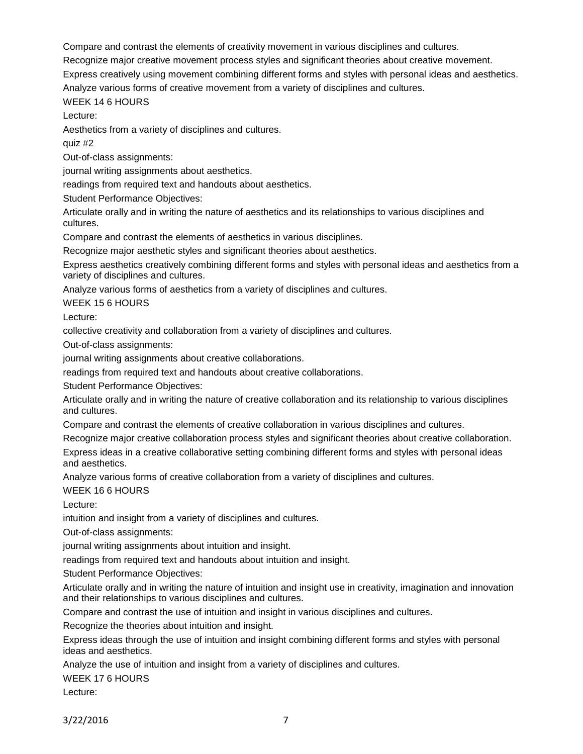Compare and contrast the elements of creativity movement in various disciplines and cultures.

Recognize major creative movement process styles and significant theories about creative movement.

Express creatively using movement combining different forms and styles with personal ideas and aesthetics.

Analyze various forms of creative movement from a variety of disciplines and cultures.

WEEK 14 6 HOURS

Lecture:

Aesthetics from a variety of disciplines and cultures.

quiz #2

Out-of-class assignments:

journal writing assignments about aesthetics.

readings from required text and handouts about aesthetics.

Student Performance Objectives:

Articulate orally and in writing the nature of aesthetics and its relationships to various disciplines and cultures.

Compare and contrast the elements of aesthetics in various disciplines.

Recognize major aesthetic styles and significant theories about aesthetics.

Express aesthetics creatively combining different forms and styles with personal ideas and aesthetics from a variety of disciplines and cultures.

Analyze various forms of aesthetics from a variety of disciplines and cultures.

WEEK 15 6 HOURS

Lecture:

collective creativity and collaboration from a variety of disciplines and cultures.

Out-of-class assignments:

journal writing assignments about creative collaborations.

readings from required text and handouts about creative collaborations.

Student Performance Objectives:

Articulate orally and in writing the nature of creative collaboration and its relationship to various disciplines and cultures.

Compare and contrast the elements of creative collaboration in various disciplines and cultures.

Recognize major creative collaboration process styles and significant theories about creative collaboration.

Express ideas in a creative collaborative setting combining different forms and styles with personal ideas and aesthetics.

Analyze various forms of creative collaboration from a variety of disciplines and cultures.

WEEK 16 6 HOURS

Lecture:

intuition and insight from a variety of disciplines and cultures.

Out-of-class assignments:

journal writing assignments about intuition and insight.

readings from required text and handouts about intuition and insight.

Student Performance Objectives:

Articulate orally and in writing the nature of intuition and insight use in creativity, imagination and innovation and their relationships to various disciplines and cultures.

Compare and contrast the use of intuition and insight in various disciplines and cultures.

Recognize the theories about intuition and insight.

Express ideas through the use of intuition and insight combining different forms and styles with personal ideas and aesthetics.

Analyze the use of intuition and insight from a variety of disciplines and cultures.

WEEK 17 6 HOURS

Lecture: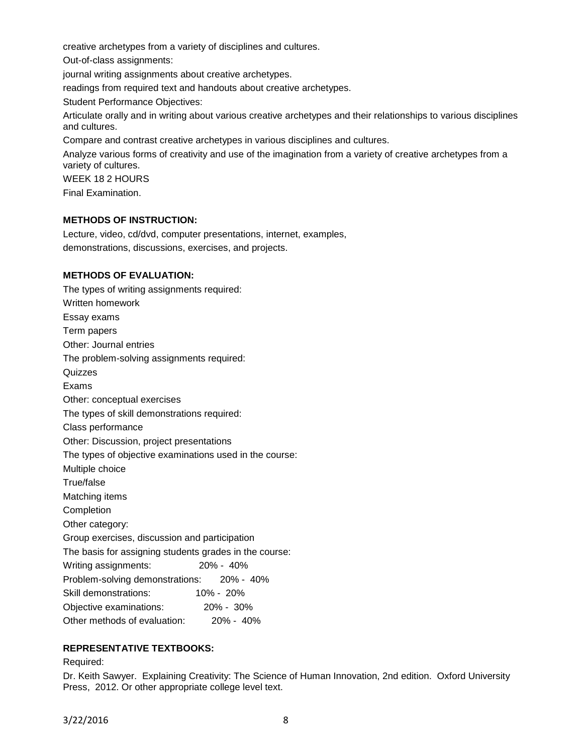creative archetypes from a variety of disciplines and cultures.

Out-of-class assignments:

journal writing assignments about creative archetypes.

readings from required text and handouts about creative archetypes.

Student Performance Objectives:

Articulate orally and in writing about various creative archetypes and their relationships to various disciplines and cultures.

Compare and contrast creative archetypes in various disciplines and cultures.

Analyze various forms of creativity and use of the imagination from a variety of creative archetypes from a variety of cultures.

WEEK 18 2 HOURS

Final Examination.

## **METHODS OF INSTRUCTION:**

Lecture, video, cd/dvd, computer presentations, internet, examples, demonstrations, discussions, exercises, and projects.

## **METHODS OF EVALUATION:**

The types of writing assignments required: Written homework Essay exams Term papers Other: Journal entries The problem-solving assignments required: **Quizzes** Exams Other: conceptual exercises The types of skill demonstrations required: Class performance Other: Discussion, project presentations The types of objective examinations used in the course: Multiple choice True/false Matching items Completion Other category: Group exercises, discussion and participation The basis for assigning students grades in the course: Writing assignments: 20% - 40% Problem-solving demonstrations: 20% - 40% Skill demonstrations: 10% - 20% Objective examinations: 20% - 30% Other methods of evaluation: 20% - 40%

## **REPRESENTATIVE TEXTBOOKS:**

#### Required:

Dr. Keith Sawyer. Explaining Creativity: The Science of Human Innovation, 2nd edition. Oxford University Press, 2012. Or other appropriate college level text.